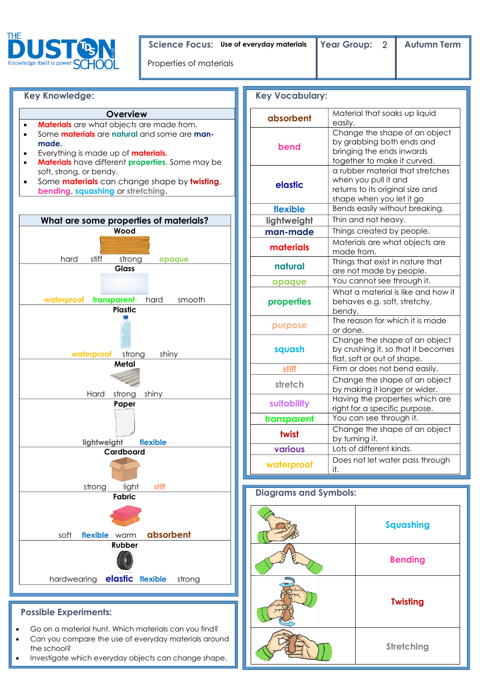

Science Focus: Use of everyday materials | Year Group: 2 | Autumn Term

Properties of materials



- Go on a material hunt. Which materials can you find?
- Can you compare the use of everyday materials around the school?
- Investigate which everyday objects can change shape.

| <b>Stretching</b> |
|-------------------|
|-------------------|

**Squashing**

**Bending** 

**Twisting**